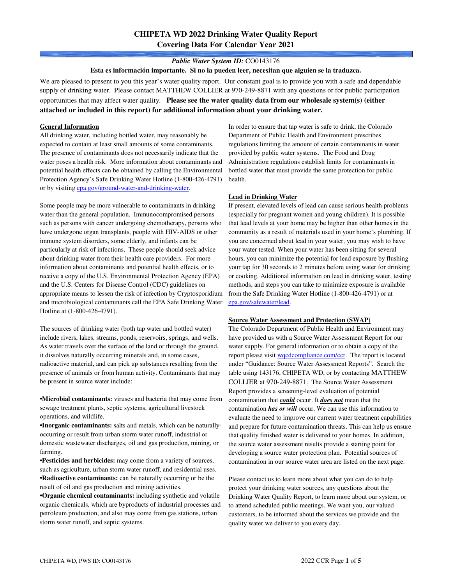# **CHIPETA WD 2022 Drinking Water Quality Report Covering Data For Calendar Year 2021**

### *Public Water System ID:* CO0143176

**Esta es información importante. Si no la pueden leer, necesitan que alguien se la traduzca.**

We are pleased to present to you this year's water quality report. Our constant goal is to provide you with a safe and dependable supply of drinking water. Please contact MATTHEW COLLIER at 970-249-8871 with any questions or for public participation opportunities that may affect water quality. **Please see the water quality data from our wholesale system(s) (either attached or included in this report) for additional information about your drinking water.**

#### **General Information**

All drinking water, including bottled water, may reasonably be expected to contain at least small amounts of some contaminants. The presence of contaminants does not necessarily indicate that the water poses a health risk. More information about contaminants and potential health effects can be obtained by calling the Environmental Protection Agency's Safe Drinking Water Hotline (1-800-426-4791) or by visiting epa.gov/ground-water-and-drinking-water.

Some people may be more vulnerable to contaminants in drinking water than the general population. Immunocompromised persons such as persons with cancer undergoing chemotherapy, persons who have undergone organ transplants, people with HIV-AIDS or other immune system disorders, some elderly, and infants can be particularly at risk of infections. These people should seek advice about drinking water from their health care providers. For more information about contaminants and potential health effects, or to receive a copy of the U.S. Environmental Protection Agency (EPA) and the U.S. Centers for Disease Control (CDC) guidelines on appropriate means to lessen the risk of infection by Cryptosporidium and microbiological contaminants call the EPA Safe Drinking Water Hotline at (1-800-426-4791).

The sources of drinking water (both tap water and bottled water) include rivers, lakes, streams, ponds, reservoirs, springs, and wells. As water travels over the surface of the land or through the ground, it dissolves naturally occurring minerals and, in some cases, radioactive material, and can pick up substances resulting from the presence of animals or from human activity. Contaminants that may be present in source water include:

**•Microbial contaminants:** viruses and bacteria that may come from sewage treatment plants, septic systems, agricultural livestock operations, and wildlife.

**•Inorganic contaminants:** salts and metals, which can be naturallyoccurring or result from urban storm water runoff, industrial or domestic wastewater discharges, oil and gas production, mining, or farming.

•**Pesticides and herbicides:** may come from a variety of sources, such as agriculture, urban storm water runoff, and residential uses. **•Radioactive contaminants:** can be naturally occurring or be the result of oil and gas production and mining activities.

**•Organic chemical contaminants:** including synthetic and volatile organic chemicals, which are byproducts of industrial processes and petroleum production, and also may come from gas stations, urban storm water runoff, and septic systems.

In order to ensure that tap water is safe to drink, the Colorado Department of Public Health and Environment prescribes regulations limiting the amount of certain contaminants in water provided by public water systems. The Food and Drug Administration regulations establish limits for contaminants in bottled water that must provide the same protection for public health.

#### **Lead in Drinking Water**

If present, elevated levels of lead can cause serious health problems (especially for pregnant women and young children). It is possible that lead levels at your home may be higher than other homes in the community as a result of materials used in your home's plumbing. If you are concerned about lead in your water, you may wish to have your water tested. When your water has been sitting for several hours, you can minimize the potential for lead exposure by flushing your tap for 30 seconds to 2 minutes before using water for drinking or cooking. Additional information on lead in drinking water, testing methods, and steps you can take to minimize exposure is available from the Safe Drinking Water Hotline (1-800-426-4791) or at epa.gov/safewater/lead.

### **Source Water Assessment and Protection (SWAP)**

The Colorado Department of Public Health and Environment may have provided us with a Source Water Assessment Report for our water supply. For general information or to obtain a copy of the report please visit wqcdcompliance.com/ccr. The report is located under "Guidance: Source Water Assessment Reports". Search the table using 143176, CHIPETA WD, or by contacting MATTHEW COLLIER at 970-249-8871. The Source Water Assessment Report provides a screening-level evaluation of potential contamination that *could* occur. It *does not* mean that the contamination *has or will* occur. We can use this information to evaluate the need to improve our current water treatment capabilities and prepare for future contamination threats. This can help us ensure that quality finished water is delivered to your homes. In addition, the source water assessment results provide a starting point for developing a source water protection plan. Potential sources of contamination in our source water area are listed on the next page.

Please contact us to learn more about what you can do to help protect your drinking water sources, any questions about the Drinking Water Quality Report, to learn more about our system, or to attend scheduled public meetings. We want you, our valued customers, to be informed about the services we provide and the quality water we deliver to you every day.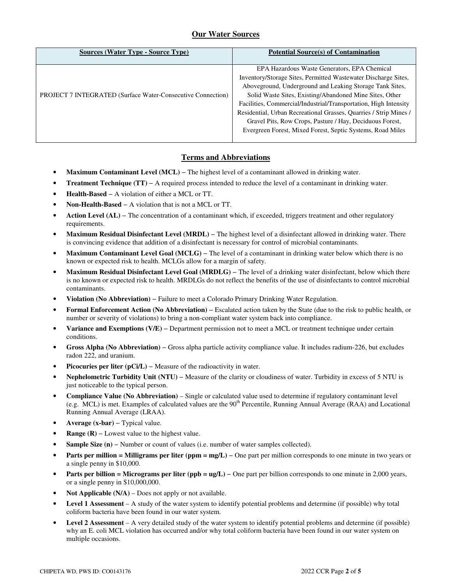## **Our Water Sources**

| <b>Sources (Water Type - Source Type)</b>                          | <b>Potential Source(s) of Contamination</b>                                                                                                                                                                                                                                                                                                                                                                                                                                                              |
|--------------------------------------------------------------------|----------------------------------------------------------------------------------------------------------------------------------------------------------------------------------------------------------------------------------------------------------------------------------------------------------------------------------------------------------------------------------------------------------------------------------------------------------------------------------------------------------|
| <b>PROJECT 7 INTEGRATED (Surface Water-Consecutive Connection)</b> | EPA Hazardous Waste Generators, EPA Chemical<br>Inventory/Storage Sites, Permitted Wastewater Discharge Sites,<br>Aboveground, Underground and Leaking Storage Tank Sites,<br>Solid Waste Sites, Existing/Abandoned Mine Sites, Other<br>Facilities, Commercial/Industrial/Transportation, High Intensity<br>Residential, Urban Recreational Grasses, Quarries / Strip Mines /<br>Gravel Pits, Row Crops, Pasture / Hay, Deciduous Forest,<br>Evergreen Forest, Mixed Forest, Septic Systems, Road Miles |
|                                                                    |                                                                                                                                                                                                                                                                                                                                                                                                                                                                                                          |

## **Terms and Abbreviations**

- **Maximum Contaminant Level (MCL)** − The highest level of a contaminant allowed in drinking water.
- **Treatment Technique (TT)** − A required process intended to reduce the level of a contaminant in drinking water.
- **Health-Based** − A violation of either a MCL or TT.
- **Non-Health-Based** − A violation that is not a MCL or TT.
- **Action Level (AL)** − The concentration of a contaminant which, if exceeded, triggers treatment and other regulatory requirements.
- **Maximum Residual Disinfectant Level (MRDL)** − The highest level of a disinfectant allowed in drinking water. There is convincing evidence that addition of a disinfectant is necessary for control of microbial contaminants.
- **Maximum Contaminant Level Goal (MCLG)** − The level of a contaminant in drinking water below which there is no known or expected risk to health. MCLGs allow for a margin of safety.
- **Maximum Residual Disinfectant Level Goal (MRDLG)** − The level of a drinking water disinfectant, below which there is no known or expected risk to health. MRDLGs do not reflect the benefits of the use of disinfectants to control microbial contaminants.
- **Violation (No Abbreviation)** − Failure to meet a Colorado Primary Drinking Water Regulation.
- **Formal Enforcement Action (No Abbreviation)** − Escalated action taken by the State (due to the risk to public health, or number or severity of violations) to bring a non-compliant water system back into compliance.
- **Variance and Exemptions (V/E)** − Department permission not to meet a MCL or treatment technique under certain conditions.
- **Gross Alpha (No Abbreviation)** − Gross alpha particle activity compliance value. It includes radium-226, but excludes radon 222, and uranium.
- **Picocuries per liter (pCi/L)** − Measure of the radioactivity in water.
- **Nephelometric Turbidity Unit (NTU)** − Measure of the clarity or cloudiness of water. Turbidity in excess of 5 NTU is just noticeable to the typical person.
- **Compliance Value (No Abbreviation)** Single or calculated value used to determine if regulatory contaminant level (e.g. MCL) is met. Examples of calculated values are the  $90<sup>th</sup>$  Percentile, Running Annual Average (RAA) and Locational Running Annual Average (LRAA).
- **Average (x-bar)** − Typical value.
- **Range (R)** Lowest value to the highest value.
- **Sample Size (n)** − Number or count of values (i.e. number of water samples collected).
- **Parts per million = Milligrams per liter (ppm = mg/L)** One part per million corresponds to one minute in two years or a single penny in \$10,000.
- **Parts per billion = Micrograms per liter (ppb = ug/L)** − One part per billion corresponds to one minute in 2,000 years, or a single penny in \$10,000,000.
- **Not Applicable (N/A)** Does not apply or not available.
- **Level 1 Assessment** A study of the water system to identify potential problems and determine (if possible) why total coliform bacteria have been found in our water system.
- **Level 2 Assessment** A very detailed study of the water system to identify potential problems and determine (if possible) why an E. coli MCL violation has occurred and/or why total coliform bacteria have been found in our water system on multiple occasions.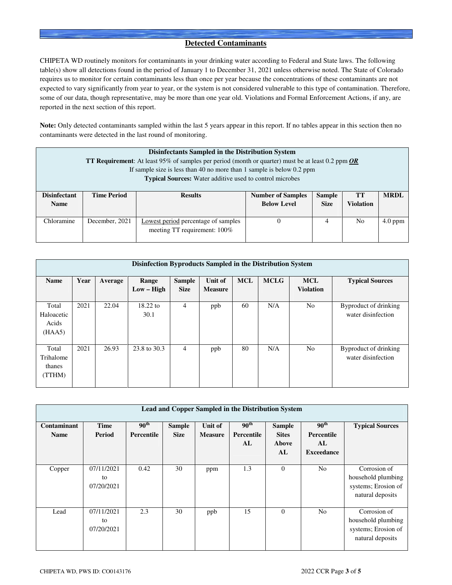## **Detected Contaminants**

CHIPETA WD routinely monitors for contaminants in your drinking water according to Federal and State laws. The following table(s) show all detections found in the period of January 1 to December 31, 2021 unless otherwise noted. The State of Colorado requires us to monitor for certain contaminants less than once per year because the concentrations of these contaminants are not expected to vary significantly from year to year, or the system is not considered vulnerable to this type of contamination. Therefore, some of our data, though representative, may be more than one year old. Violations and Formal Enforcement Actions, if any, are reported in the next section of this report.

**Note:** Only detected contaminants sampled within the last 5 years appear in this report. If no tables appear in this section then no contaminants were detected in the last round of monitoring.

| Disinfectants Sampled in the Distribution System<br><b>TT Requirement:</b> At least 95% of samples per period (month or quarter) must be at least 0.2 ppm $OR$<br>If sample size is less than 40 no more than 1 sample is below 0.2 ppm<br><b>Typical Sources:</b> Water additive used to control microbes |                    |                                                                     |                                                |                              |                               |             |  |  |
|------------------------------------------------------------------------------------------------------------------------------------------------------------------------------------------------------------------------------------------------------------------------------------------------------------|--------------------|---------------------------------------------------------------------|------------------------------------------------|------------------------------|-------------------------------|-------------|--|--|
| <b>Disinfectant</b><br><b>Name</b>                                                                                                                                                                                                                                                                         | <b>Time Period</b> | <b>Results</b>                                                      | <b>Number of Samples</b><br><b>Below Level</b> | <b>Sample</b><br><b>Size</b> | <b>TT</b><br><b>Violation</b> | <b>MRDL</b> |  |  |
|                                                                                                                                                                                                                                                                                                            |                    |                                                                     |                                                |                              |                               |             |  |  |
| Chloramine                                                                                                                                                                                                                                                                                                 | December, 2021     | Lowest period percentage of samples<br>meeting TT requirement: 100% |                                                | 4                            | N <sub>0</sub>                | $4.0$ ppm   |  |  |

|                                        | Disinfection Byproducts Sampled in the Distribution System |         |                            |                              |                           |            |             |                                |                                             |  |  |  |
|----------------------------------------|------------------------------------------------------------|---------|----------------------------|------------------------------|---------------------------|------------|-------------|--------------------------------|---------------------------------------------|--|--|--|
| <b>Name</b>                            | Year                                                       | Average | Range<br>$Low - High$      | <b>Sample</b><br><b>Size</b> | Unit of<br><b>Measure</b> | <b>MCL</b> | <b>MCLG</b> | <b>MCL</b><br><b>Violation</b> | <b>Typical Sources</b>                      |  |  |  |
| Total<br>Haloacetic<br>Acids<br>(HAA5) | 2021                                                       | 22.04   | $18.22 \text{ to}$<br>30.1 | $\overline{4}$               | ppb                       | 60         | N/A         | N <sub>0</sub>                 | Byproduct of drinking<br>water disinfection |  |  |  |
| Total<br>Trihalome<br>thanes<br>(TTHM) | 2021                                                       | 26.93   | 23.8 to 30.3               | 4                            | ppb                       | 80         | N/A         | N <sub>0</sub>                 | Byproduct of drinking<br>water disinfection |  |  |  |

|                            | <b>Lead and Copper Sampled in the Distribution System</b> |                                       |                              |                           |                                      |                                              |                                                           |                                                                               |  |  |  |
|----------------------------|-----------------------------------------------------------|---------------------------------------|------------------------------|---------------------------|--------------------------------------|----------------------------------------------|-----------------------------------------------------------|-------------------------------------------------------------------------------|--|--|--|
| Contaminant<br><b>Name</b> | Time<br>Period                                            | 90 <sup>th</sup><br><b>Percentile</b> | <b>Sample</b><br><b>Size</b> | Unit of<br><b>Measure</b> | $90^{\text{th}}$<br>Percentile<br>AL | <b>Sample</b><br><b>Sites</b><br>Above<br>AL | 90 <sup>th</sup><br>Percentile<br>AL<br><b>Exceedance</b> | <b>Typical Sources</b>                                                        |  |  |  |
| Copper                     | 07/11/2021<br>to<br>07/20/2021                            | 0.42                                  | 30                           | ppm                       | 1.3                                  | $\theta$                                     | N <sub>o</sub>                                            | Corrosion of<br>household plumbing<br>systems; Erosion of<br>natural deposits |  |  |  |
| Lead                       | 07/11/2021<br>to<br>07/20/2021                            | 2.3                                   | 30                           | ppb                       | 15                                   | $\Omega$                                     | N <sub>0</sub>                                            | Corrosion of<br>household plumbing<br>systems; Erosion of<br>natural deposits |  |  |  |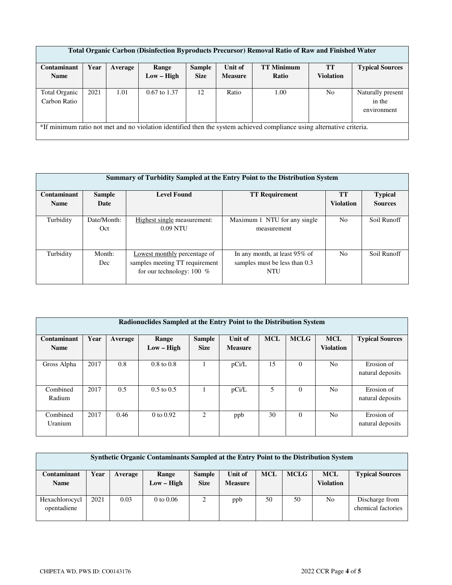| <b>Total Organic Carbon (Disinfection Byproducts Precursor) Removal Ratio of Raw and Finished Water</b> |                                                                                                                       |         |                  |               |                |                   |                  |                                            |  |  |  |
|---------------------------------------------------------------------------------------------------------|-----------------------------------------------------------------------------------------------------------------------|---------|------------------|---------------|----------------|-------------------|------------------|--------------------------------------------|--|--|--|
| Contaminant                                                                                             | Year                                                                                                                  | Average | Range            | <b>Sample</b> | Unit of        | <b>TT Minimum</b> | <b>TT</b>        | <b>Typical Sources</b>                     |  |  |  |
| <b>Name</b>                                                                                             |                                                                                                                       |         | $Low - High$     | <b>Size</b>   | <b>Measure</b> | Ratio             | <b>Violation</b> |                                            |  |  |  |
| Total Organic<br>Carbon Ratio                                                                           | 2021                                                                                                                  | 1.01    | $0.67$ to $1.37$ | 12            | Ratio          | 1.00              | No               | Naturally present<br>in the<br>environment |  |  |  |
|                                                                                                         | *If minimum ratio not met and no violation identified then the system achieved compliance using alternative criteria. |         |                  |               |                |                   |                  |                                            |  |  |  |

| Summary of Turbidity Sampled at the Entry Point to the Distribution System |                    |                                                                                               |                                                                              |                  |                |  |  |  |  |  |
|----------------------------------------------------------------------------|--------------------|-----------------------------------------------------------------------------------------------|------------------------------------------------------------------------------|------------------|----------------|--|--|--|--|--|
| Contaminant                                                                | <b>Sample</b>      | <b>Level Found</b>                                                                            | <b>TT Requirement</b>                                                        | <b>TT</b>        | <b>Typical</b> |  |  |  |  |  |
| <b>Name</b>                                                                | Date               |                                                                                               |                                                                              | <b>Violation</b> | <b>Sources</b> |  |  |  |  |  |
| Turbidity                                                                  | Date/Month:<br>Oct | Highest single measurement:<br>$0.09$ NTU                                                     | Maximum 1 NTU for any single<br>measurement                                  | N <sub>0</sub>   | Soil Runoff    |  |  |  |  |  |
| Turbidity                                                                  | Month:<br>Dec      | Lowest monthly percentage of<br>samples meeting TT requirement<br>for our technology: $100\%$ | In any month, at least 95% of<br>samples must be less than 0.3<br><b>NTU</b> | N <sub>o</sub>   | Soil Runoff    |  |  |  |  |  |

| Radionuclides Sampled at the Entry Point to the Distribution System |      |         |                       |                              |                           |            |             |                                |                                |  |
|---------------------------------------------------------------------|------|---------|-----------------------|------------------------------|---------------------------|------------|-------------|--------------------------------|--------------------------------|--|
| Contaminant<br><b>Name</b>                                          | Year | Average | Range<br>$Low - High$ | <b>Sample</b><br><b>Size</b> | Unit of<br><b>Measure</b> | <b>MCL</b> | <b>MCLG</b> | <b>MCL</b><br><b>Violation</b> | <b>Typical Sources</b>         |  |
| Gross Alpha                                                         | 2017 | 0.8     | $0.8 \text{ to } 0.8$ |                              | pCi/L                     | 15         | $\Omega$    | N <sub>o</sub>                 | Erosion of<br>natural deposits |  |
| Combined<br>Radium                                                  | 2017 | 0.5     | $0.5 \text{ to } 0.5$ |                              | pCi/L                     | 5          | $\Omega$    | N <sub>o</sub>                 | Erosion of<br>natural deposits |  |
| Combined<br>Uranium                                                 | 2017 | 0.46    | $0$ to $0.92$         | 2                            | ppb                       | 30         | $\Omega$    | N <sub>o</sub>                 | Erosion of<br>natural deposits |  |

| Synthetic Organic Contaminants Sampled at the Entry Point to the Distribution System |      |         |                       |                              |                           |            |             |                                |                                      |  |
|--------------------------------------------------------------------------------------|------|---------|-----------------------|------------------------------|---------------------------|------------|-------------|--------------------------------|--------------------------------------|--|
| Contaminant<br><b>Name</b>                                                           | Year | Average | Range<br>$Low - High$ | <b>Sample</b><br><b>Size</b> | Unit of<br><b>Measure</b> | <b>MCL</b> | <b>MCLG</b> | <b>MCL</b><br><b>Violation</b> | <b>Typical Sources</b>               |  |
| Hexachlorocycl<br>opentadiene                                                        | 2021 | 0.03    | $0$ to $0.06$         |                              | ppb                       | 50         | 50          | No                             | Discharge from<br>chemical factories |  |